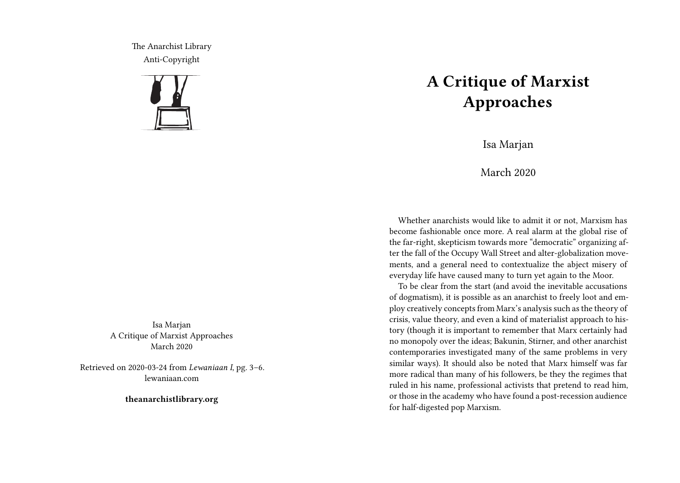The Anarchist Library Anti-Copyright



Isa Marjan A Critique of Marxist Approaches March 2020

Retrieved on 2020-03-24 from *Lewaniaan I*, pg. 3–6. lewaniaan.com

**theanarchistlibrary.org**

## **A Critique of Marxist Approaches**

Isa Marjan

March 2020

Whether anarchists would like to admit it or not, Marxism has become fashionable once more. A real alarm at the global rise of the far-right, skepticism towards more "democratic" organizing after the fall of the Occupy Wall Street and alter-globalization movements, and a general need to contextualize the abject misery of everyday life have caused many to turn yet again to the Moor.

To be clear from the start (and avoid the inevitable accusations of dogmatism), it is possible as an anarchist to freely loot and employ creatively concepts from Marx's analysis such as the theory of crisis, value theory, and even a kind of materialist approach to history (though it is important to remember that Marx certainly had no monopoly over the ideas; Bakunin, Stirner, and other anarchist contemporaries investigated many of the same problems in very similar ways). It should also be noted that Marx himself was far more radical than many of his followers, be they the regimes that ruled in his name, professional activists that pretend to read him, or those in the academy who have found a post-recession audience for half-digested pop Marxism.